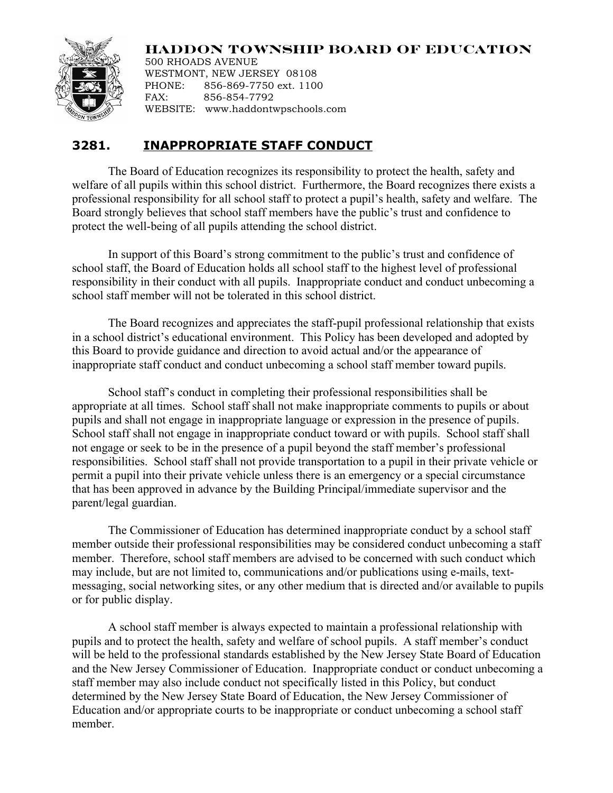## **HADDON TOWNSHIP BOARD OF EDUCATION**



500 RHOADS AVENUE WESTMONT, NEW JERSEY 08108 PHONE: 856-869-7750 ext. 1100 FAX: 856-854-7792 WEBSITE: www.haddontwpschools.com

## **3281. INAPPROPRIATE STAFF CONDUCT**

The Board of Education recognizes its responsibility to protect the health, safety and welfare of all pupils within this school district. Furthermore, the Board recognizes there exists a professional responsibility for all school staff to protect a pupil's health, safety and welfare. The Board strongly believes that school staff members have the public's trust and confidence to protect the well-being of all pupils attending the school district.

In support of this Board's strong commitment to the public's trust and confidence of school staff, the Board of Education holds all school staff to the highest level of professional responsibility in their conduct with all pupils. Inappropriate conduct and conduct unbecoming a school staff member will not be tolerated in this school district.

The Board recognizes and appreciates the staff-pupil professional relationship that exists in a school district's educational environment. This Policy has been developed and adopted by this Board to provide guidance and direction to avoid actual and/or the appearance of inappropriate staff conduct and conduct unbecoming a school staff member toward pupils.

School staff's conduct in completing their professional responsibilities shall be appropriate at all times. School staff shall not make inappropriate comments to pupils or about pupils and shall not engage in inappropriate language or expression in the presence of pupils. School staff shall not engage in inappropriate conduct toward or with pupils. School staff shall not engage or seek to be in the presence of a pupil beyond the staff member's professional responsibilities. School staff shall not provide transportation to a pupil in their private vehicle or permit a pupil into their private vehicle unless there is an emergency or a special circumstance that has been approved in advance by the Building Principal/immediate supervisor and the parent/legal guardian.

The Commissioner of Education has determined inappropriate conduct by a school staff member outside their professional responsibilities may be considered conduct unbecoming a staff member. Therefore, school staff members are advised to be concerned with such conduct which may include, but are not limited to, communications and/or publications using e-mails, textmessaging, social networking sites, or any other medium that is directed and/or available to pupils or for public display.

A school staff member is always expected to maintain a professional relationship with pupils and to protect the health, safety and welfare of school pupils. A staff member's conduct will be held to the professional standards established by the New Jersey State Board of Education and the New Jersey Commissioner of Education. Inappropriate conduct or conduct unbecoming a staff member may also include conduct not specifically listed in this Policy, but conduct determined by the New Jersey State Board of Education, the New Jersey Commissioner of Education and/or appropriate courts to be inappropriate or conduct unbecoming a school staff member.